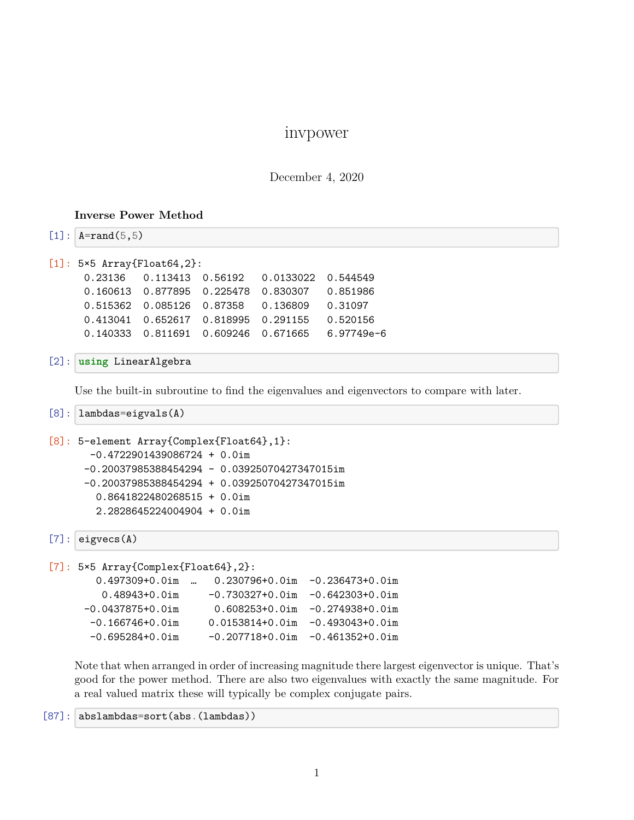## invpower

December 4, 2020

## **Inverse Power Method**

 $[1]$ :  $A = rand(5, 5)$ 

```
[1]: 5×5 Array{Float64,2}:
```

|  | 0.515362  0.085126  0.87358  0.136809  0.31097 |  |
|--|------------------------------------------------|--|
|  |                                                |  |
|  |                                                |  |

## [2]: **using** LinearAlgebra

Use the built-in subroutine to find the eigenvalues and eigenvectors to compare with later.

```
[8]: lambdas=eigvals(A)
```

```
[8]: 5-element Array{Complex{Float64},1}:
       -0.4722901439086724 + 0.0im
      -0.20037985388454294 - 0.03925070427347015im
      -0.20037985388454294 + 0.03925070427347015im
        0.8641822480268515 + 0.0im
        2.2828645224004904 + 0.0im
```

```
[7]: eigvecs(A)
```

```
[7]: 5×5 Array{Complex{Float64},2}:
       0.497309+0.0im … 0.230796+0.0im -0.236473+0.0im
        0.48943+0.0im -0.730327+0.0im -0.642303+0.0im
     -0.0437875+0.0im 0.608253+0.0im -0.274938+0.0im
      -0.166746+0.0im 0.0153814+0.0im -0.493043+0.0im
      -0.695284+0.0im -0.207718+0.0im -0.461352+0.0im
```
Note that when arranged in order of increasing magnitude there largest eigenvector is unique. That's good for the power method. There are also two eigenvalues with exactly the same magnitude. For a real valued matrix these will typically be complex conjugate pairs.

[87]: abslambdas=sort(abs.(lambdas))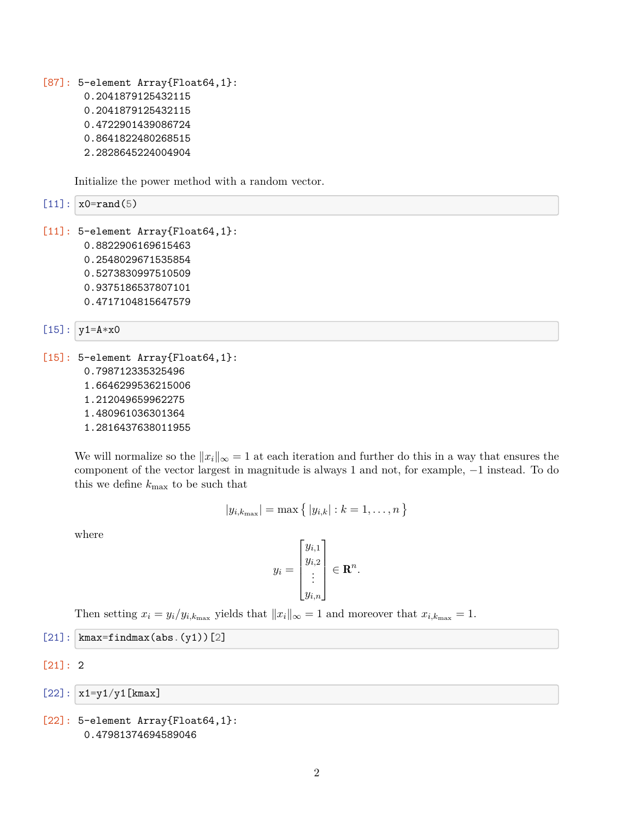[87]: 5-element Array{Float64,1}: 0.2041879125432115 0.2041879125432115 0.4722901439086724 0.8641822480268515 2.2828645224004904

Initialize the power method with a random vector.

 $[11]: |x0=rand(5)|$ 

[11]: 5-element Array{Float64,1}: 0.8822906169615463 0.2548029671535854 0.5273830997510509 0.9375186537807101 0.4717104815647579

$$
[15]:|y1=A*x0
$$

[15]: 5-element Array{Float64,1}: 0.798712335325496 1.6646299536215006

- 1.212049659962275
- 1.480961036301364
- 1.2816437638011955

We will normalize so the  $||x_i||_{\infty} = 1$  at each iteration and further do this in a way that ensures the component of the vector largest in magnitude is always 1 and not, for example, *−*1 instead. To do this we define *k*max to be such that

$$
|y_{i,k_{\max}}| = \max\{|y_{i,k}| : k = 1,\ldots,n\}
$$

where

$$
y_i = \begin{bmatrix} y_{i,1} \\ y_{i,2} \\ \vdots \\ y_{i,n} \end{bmatrix} \in \mathbf{R}^n.
$$

Then setting  $x_i = y_i/y_{i,k_{\text{max}}}$  yields that  $||x_i||_{\infty} = 1$  and moreover that  $x_{i,k_{\text{max}}} = 1$ .

- $[21]$ : | kmax=findmax(abs.(y1))[2]
- [21]: 2

 $[22]$ :  $x1=y1/y1$ [kmax]

```
[22]: 5-element Array{Float64,1}:
       0.47981374694589046
```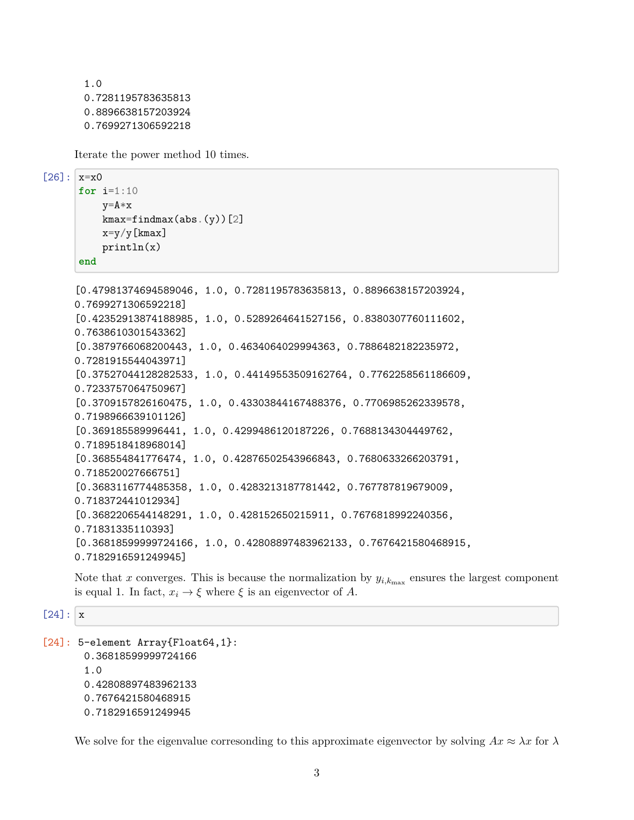```
1.0
0.7281195783635813
0.8896638157203924
0.7699271306592218
```
Iterate the power method 10 times.

 $[26]$ :  $x=x0$ 

```
for i=1:10
    y=A*x
    kmax=findmax(abs.(y))[2]
    x=y/y[kmax]
    println(x)
end
```

```
[0.47981374694589046, 1.0, 0.7281195783635813, 0.8896638157203924,
0.7699271306592218]
[0.42352913874188985, 1.0, 0.5289264641527156, 0.8380307760111602,
0.7638610301543362]
[0.3879766068200443, 1.0, 0.4634064029994363, 0.7886482182235972,
0.7281915544043971]
[0.37527044128282533, 1.0, 0.44149553509162764, 0.7762258561186609,
0.7233757064750967]
[0.3709157826160475, 1.0, 0.43303844167488376, 0.7706985262339578,
0.7198966639101126]
[0.369185589996441, 1.0, 0.4299486120187226, 0.7688134304449762,
0.7189518418968014]
[0.368554841776474, 1.0, 0.42876502543966843, 0.7680633266203791,
0.718520027666751]
[0.3683116774485358, 1.0, 0.4283213187781442, 0.767787819679009,
0.718372441012934]
[0.3682206544148291, 1.0, 0.428152650215911, 0.7676818992240356,
0.71831335110393]
[0.36818599999724166, 1.0, 0.42808897483962133, 0.7676421580468915,
0.7182916591249945]
```
Note that  $x$  converges. This is because the normalization by  $y_{i,k_{\text{max}}}$  ensures the largest component is equal 1. In fact,  $x_i \rightarrow \xi$  where  $\xi$  is an eigenvector of A.

 $[24]$ : x

```
[24]: 5-element Array{Float64,1}:
       0.36818599999724166
       1.0
       0.42808897483962133
       0.7676421580468915
       0.7182916591249945
```
We solve for the eigenvalue corresonding to this approximate eigenvector by solving  $Ax \approx \lambda x$  for  $\lambda$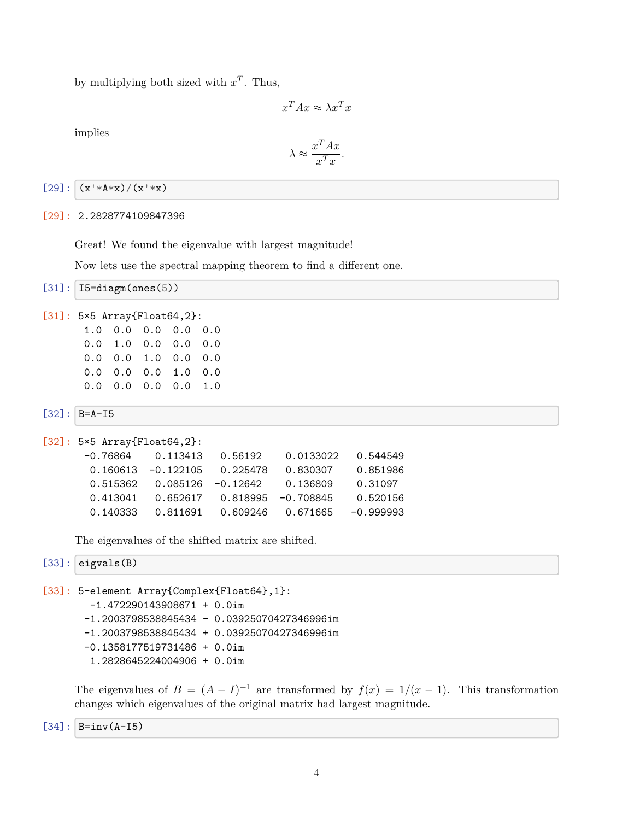by multiplying both sized with  $x^T$ . Thus,

$$
x^T A x \approx \lambda x^T x
$$

implies

$$
\lambda \approx \frac{x^T A x}{x^T x}.
$$

 $[29]$ :  $(x^+$   $*(x^+$   $*(x^+$   $*(x^+$ 

[29]: 2.2828774109847396

Great! We found the eigenvalue with largest magnitude!

Now lets use the spectral mapping theorem to find a different one.

```
[31]: I5=diagm(ones(5))
```

```
[31]: 5×5 Array{Float64,2}:
```

| 1.0 0.0 0.0 0.0 0.0 |  |  |
|---------------------|--|--|
| 0.0 1.0 0.0 0.0 0.0 |  |  |
| 0.0 0.0 1.0 0.0 0.0 |  |  |
| 0.0 0.0 0.0 1.0 0.0 |  |  |
| 0.0 0.0 0.0 0.0 1.0 |  |  |

 $[32]$ :  $B=A-I5$ 

```
[32]: 5×5 Array{Float64,2}:
      -0.76864 0.113413 0.56192 0.0133022 0.544549
      0.160613 -0.122105 0.225478 0.830307 0.851986
      0.515362 0.085126 -0.12642 0.136809 0.31097
      0.413041 0.652617 0.818995 -0.708845 0.520156
      0.140333 0.811691 0.609246 0.671665 -0.999993
```
The eigenvalues of the shifted matrix are shifted.

 $[33]$ : eigvals(B)

```
[33]: 5-element Array{Complex{Float64},1}:
       -1.472290143908671 + 0.0im
       -1.2003798538845434 - 0.03925070427346996im
       -1.2003798538845434 + 0.03925070427346996im
       -0.1358177519731486 + 0.0im
        1.2828645224004906 + 0.0im
```
The eigenvalues of  $B = (A - I)^{-1}$  are transformed by  $f(x) = 1/(x - 1)$ . This transformation changes which eigenvalues of the original matrix had largest magnitude.

 $[34]$ :  $B=inv(A-15)$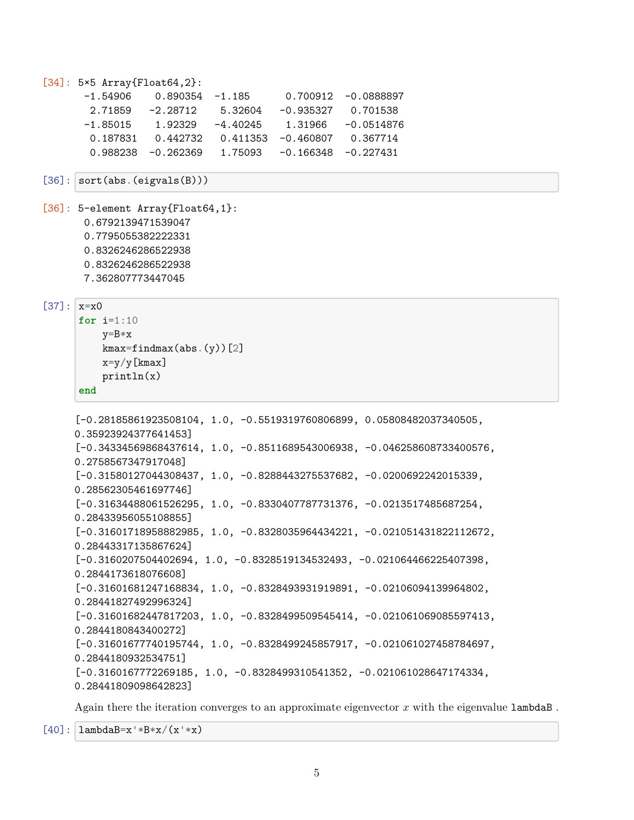```
[34]: 5×5 Array{Float64,2}:
      -1.54906 0.890354 -1.185 0.700912 -0.0888897
       2.71859 -2.28712 5.32604 -0.935327 0.701538
      -1.85015 1.92329 -4.40245 1.31966 -0.0514876
       0.187831 0.442732 0.411353 -0.460807 0.367714
       0.988238 -0.262369 1.75093 -0.166348 -0.227431
[36]: sort(abs.(eigvals(B)))[36]: 5-element Array{Float64,1}:
      0.6792139471539047
      0.7795055382222331
      0.8326246286522938
      0.8326246286522938
      7.362807773447045
[37]: |x=x0for i=1:10
         y=B*xkmax=findmax(abs.(y))[2]
         x=y/y[kmax]
         println(x)
     end
     [-0.28185861923508104, 1.0, -0.5519319760806899, 0.05808482037340505,
     0.35923924377641453]
     [-0.34334569868437614, 1.0, -0.8511689543006938, -0.046258608733400576,
     0.2758567347917048]
     [-0.31580127044308437, 1.0, -0.8288443275537682, -0.0200692242015339,
     0.28562305461697746]
     [-0.31634488061526295, 1.0, -0.8330407787731376, -0.0213517485687254,
     0.28433956055108855]
     [-0.31601718958882985, 1.0, -0.8328035964434221, -0.021051431822112672,
     0.28443317135867624]
     [-0.3160207504402694, 1.0, -0.8328519134532493, -0.021064466225407398,0.2844173618076608]
     [-0.31601681247168834, 1.0, -0.8328493931919891, -0.02106094139964802,
     0.28441827492996324]
     [-0.31601682447817203, 1.0, -0.8328499509545414, -0.021061069085597413,
     0.2844180843400272]
     [-0.31601677740195744, 1.0, -0.8328499245857917, -0.021061027458784697,
     0.2844180932534751]
     [-0.3160167772269185, 1.0, -0.8328499310541352, -0.021061028647174334,
     0.28441809098642823]
```
Again there the iteration converges to an approximate eigenvector *x* with the eigenvalue lambdaB .

 $[40]$ :  $\lambda$  lambdaB=x'\*B\*x/(x'\*x)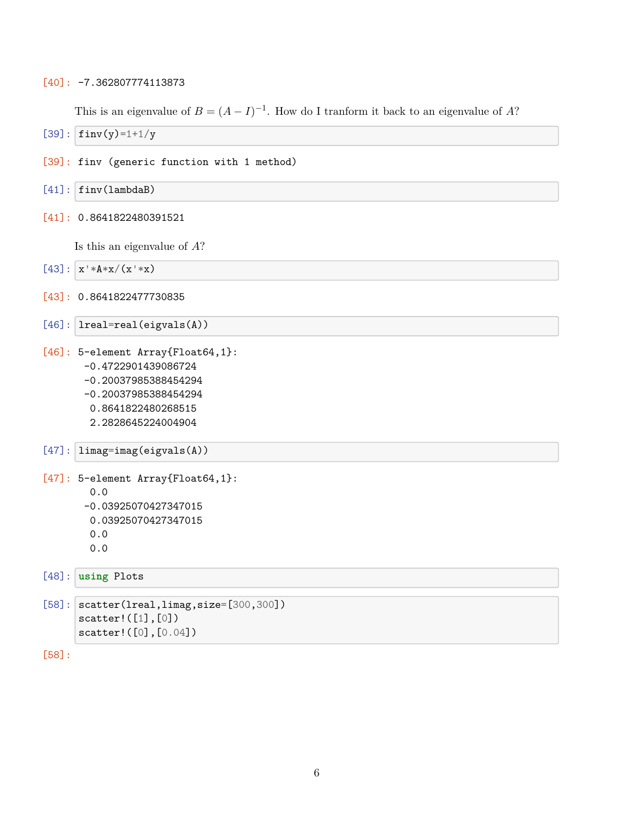## [40]: -7.362807774113873

This is an eigenvalue of  $B = (A - I)^{-1}$ . How do I tranform it back to an eigenvalue of *A*?

- $[39]$ : finv(y)=1+1/y
- [39]: finv (generic function with 1 method)
- $[41]$ : finv(lambdaB)
- [41]: 0.8641822480391521

Is this an eigenvalue of *A*?

```
[43]: x' * A * x / (x' * x)
```
- [43]: 0.8641822477730835
- [46]: lreal=real(eigvals(A))
- [46]: 5-element Array{Float64,1}: -0.4722901439086724
	- -0.20037985388454294
	- -0.20037985388454294
	- 0.8641822480268515
	- 2.2828645224004904

```
[47]: limag=imag(eigvals(A))
```

```
[47]: 5-element Array{Float64,1}:
        0.0
       -0.03925070427347015
```
- 0.03925070427347015
- 0.0
- 0.0

```
[48]: using Plots
```

```
[58]: scatter(lreal,limag,size=[300, 300])
      scatter!([1],[0])
      scatter!([0],[0.04])
```
[58]: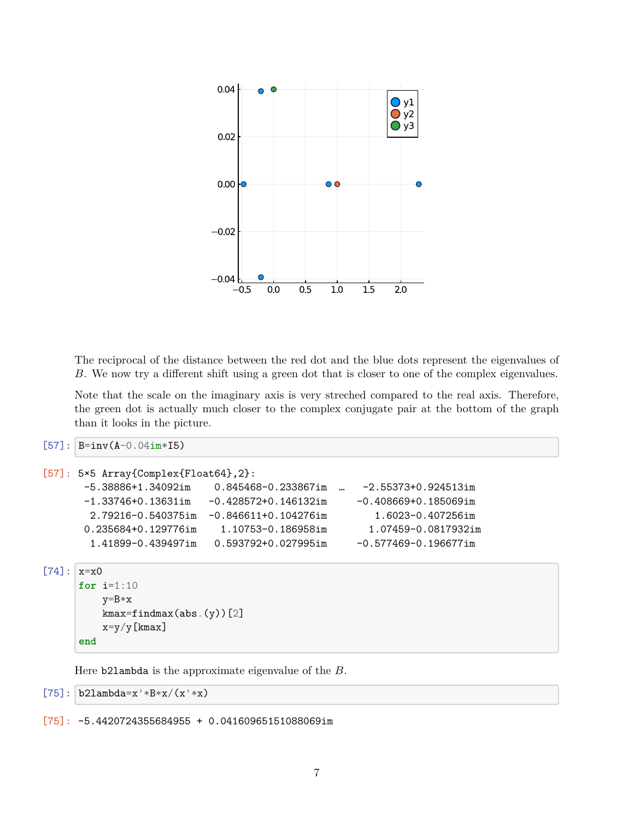

The reciprocal of the distance between the red dot and the blue dots represent the eigenvalues of *B*. We now try a different shift using a green dot that is closer to one of the complex eigenvalues.

Note that the scale on the imaginary axis is very streched compared to the real axis. Therefore, the green dot is actually much closer to the complex conjugate pair at the bottom of the graph than it looks in the picture.

```
[57]: B=inv(A-0.04im*I5)
```

```
[57]: 5×5 Array{Complex{Float64},2}:
      -5.38886+1.34092im 0.845468-0.233867im … -2.55373+0.924513im
      -1.33746+0.13631im -0.428572+0.146132im -0.408669+0.185069im
       2.79216-0.540375im -0.846611+0.104276im 1.6023-0.407256im
      0.235684+0.129776im 1.10753-0.186958im 1.07459-0.0817932im
       1.41899-0.439497im 0.593792+0.027995im -0.577469-0.196677im
```

```
[74]: x=x0for i=1:10
          y=B*x
          kmax=findmax(abs.(y))[2]x=y/y[kmax]
      end
```
Here b2lambda is the approximate eigenvalue of the *B*.

```
[75]: b21ambda=x'*B*x/(x'*x)
```
 $[75]$ : -5.4420724355684955 + 0.04160965151088069im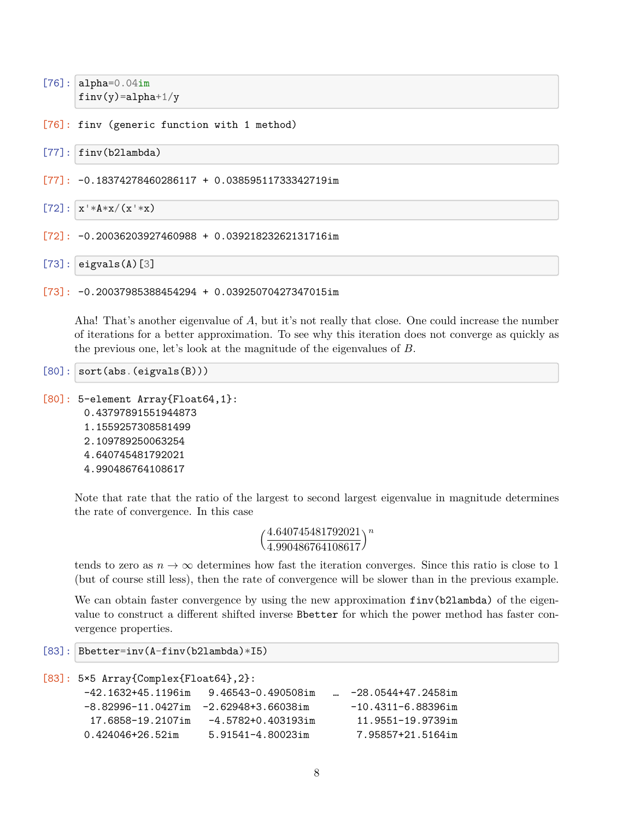```
[76]: alpha=0.04imfinv(y)=a1pha+1/y
```
[76]: finv (generic function with 1 method)

```
[77]: finv(b2lambda)
```

```
[77]: -0.18374278460286117 + 0.03859511733342719im
```

```
[72]: x' * A * x / (x' * x)
```

```
[72]: -0.20036203927460988 + 0.03921823262131716im
```

```
[73]: eigvals(A)[3]
```

```
[73]: -0.20037985388454294 + 0.03925070427347015im
```
Aha! That's another eigenvalue of *A*, but it's not really that close. One could increase the number of iterations for a better approximation. To see why this iteration does not converge as quickly as the previous one, let's look at the magnitude of the eigenvalues of *B*.

```
[80]: sort(abs.(eigvals(B)))
```

```
[80]: 5-element Array{Float64,1}:
       0.43797891551944873
       1.1559257308581499
       2.109789250063254
       4.640745481792021
       4.990486764108617
```
Note that rate that the ratio of the largest to second largest eigenvalue in magnitude determines the rate of convergence. In this case

```
(4.640745481792021
 4.990486764108617
                   )n
```
tends to zero as  $n \to \infty$  determines how fast the iteration converges. Since this ratio is close to 1 (but of course still less), then the rate of convergence will be slower than in the previous example.

We can obtain faster convergence by using the new approximation  $\text{fin}(b2\text{lambda})$  of the eigenvalue to construct a different shifted inverse Bbetter for which the power method has faster convergence properties.

```
[83]: Bbetter=inv(A-finv(b2lambda)*I5)
```

```
[83]: 5×5 Array{Complex{Float64},2}:
```

```
-42.1632+45.1196im 9.46543-0.490508im … -28.0544+47.2458im
-8.82996-11.0427im -2.62948+3.66038im -10.4311-6.88396im
 17.6858-19.2107im -4.5782+0.403193im 11.9551-19.9739im
0.424046+26.52im 5.91541-4.80023im 7.95857+21.5164im
```